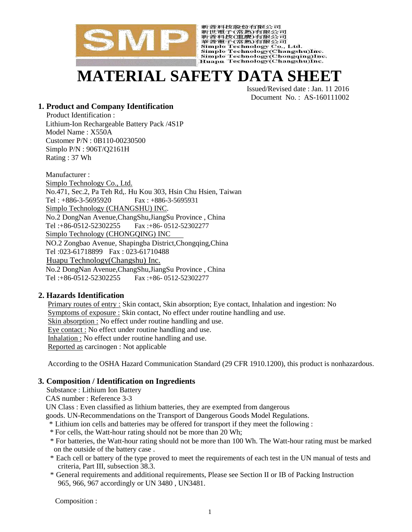

新普科技股份有限公司 利音性公認の有限公司<br>新普科技(重慶)有限公司<br>華普科技(重慶)有限公司<br>華普電子(常熟)有限公司<br>Simplo Technology Co., Ltd. Simplo Technology(Changshu)Inc. Simplo Technology(Chongqing)Inc.<br>Huapu Technology(Chongqing)Inc.

# **MATERIAL SAFETY DATA SHEET**

Issued/Revised date : Jan. 11 2016 Document No. : AS-160111002

# **1. Product and Company Identification**

Product Identification : Lithium-Ion Rechargeable Battery Pack /4S1P Model Name : X550A Customer P/N : 0B110-00230500 Simplo P/N : 906T/Q2161H Rating : 37 Wh

Manufacturer : Simplo Technology Co., Ltd. No.471, Sec.2, Pa Teh Rd,. Hu Kou 303, Hsin Chu Hsien, Taiwan Tel : +886-3-5695920 Fax : +886-3-5695931 Simplo Technology (CHANGSHU) INC. No.2 DongNan Avenue,ChangShu,JiangSu Province , China Tel :+86-0512-52302255 Fax :+86- 0512-52302277 Simplo Technology (CHONGOING) INC NO.2 Zongbao Avenue, Shapingba District,Chongqing,China Tel :023-61718899 Fax : 023-61710488 Huapu Technology(Changshu) Inc. No.2 DongNan Avenue,ChangShu,JiangSu Province , China Tel :+86-0512-52302255 Fax :+86- 0512-52302277

# **2. Hazards Identification**

Primary routes of entry : Skin contact, Skin absorption; Eye contact, Inhalation and ingestion: No Symptoms of exposure : Skin contact, No effect under routine handling and use. Skin absorption : No effect under routine handling and use. Eye contact : No effect under routine handling and use. Inhalation : No effect under routine handling and use. Reported as carcinogen : Not applicable

According to the OSHA Hazard Communication Standard (29 CFR 1910.1200), this product is nonhazardous.

# **3. Composition / Identification on Ingredients**

Substance : Lithium Ion Battery

CAS number : Reference 3-3

UN Class : Even classified as lithium batteries, they are exempted from dangerous

goods. UN-Recommendations on the Transport of Dangerous Goods Model Regulations.

- \* Lithium ion cells and batteries may be offered for transport if they meet the following :
- \* For cells, the Watt-hour rating should not be more than 20 Wh;
- \* For batteries, the Watt-hour rating should not be more than 100 Wh. The Watt-hour rating must be marked on the outside of the battery case .
- \* Each cell or battery of the type proved to meet the requirements of each test in the UN manual of tests and criteria, Part III, subsection 38.3.
- \* General requirements and additional requirements, Please see Section II or IB of Packing Instruction 965, 966, 967 accordingly or UN 3480 , UN3481.

Composition :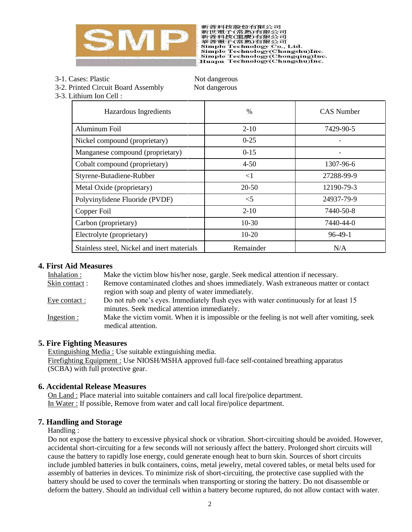

新普科技股份有限公司 利音性公認の有限公司<br>新普科技(重慶)有限公司<br>華普科技(重慶)有限公司<br>華普電子(常熟)有限公司<br>Simplo Technology Co., Ltd. Simplo Technology(Changshu)Inc. Simplo Technology (Chongqing)Inc.<br>Huapu Technology (Chongqing)Inc.

- 3-1. Cases: Plastic Not dangerous
- 3-2. Printed Circuit Board Assembly Not dangerous

3-3. Lithium Ion Cell :

| Hazardous Ingredients                       | $\%$      | <b>CAS</b> Number |  |
|---------------------------------------------|-----------|-------------------|--|
| Aluminum Foil                               | $2 - 10$  | 7429-90-5         |  |
| Nickel compound (proprietary)               | $0 - 25$  |                   |  |
| Manganese compound (proprietary)            | $0 - 15$  |                   |  |
| Cobalt compound (proprietary)               | $4 - 50$  | 1307-96-6         |  |
| Styrene-Butadiene-Rubber                    | $\leq$ 1  | 27288-99-9        |  |
| Metal Oxide (proprietary)                   | $20 - 50$ | 12190-79-3        |  |
| Polyvinylidene Fluoride (PVDF)              | $\leq$ 5  | 24937-79-9        |  |
| Copper Foil                                 | $2 - 10$  | 7440-50-8         |  |
| Carbon (proprietary)                        | $10-30$   | 7440-44-0         |  |
| Electrolyte (proprietary)                   | $10 - 20$ | $96-49-1$         |  |
| Stainless steel, Nickel and inert materials | Remainder | N/A               |  |

# **4. First Aid Measures**

| Inhalation :  | Make the victim blow his/her nose, gargle. Seek medical attention if necessary.                                                       |
|---------------|---------------------------------------------------------------------------------------------------------------------------------------|
| Skin contact: | Remove contaminated clothes and shoes immediately. Wash extraneous matter or contact                                                  |
|               | region with soap and plenty of water immediately.                                                                                     |
| Eye contact : | Do not rub one's eyes. Immediately flush eyes with water continuously for at least 15<br>minutes. Seek medical attention immediately. |
| Ingestion:    | Make the victim vomit. When it is impossible or the feeling is not well after vomiting, seek<br>medical attention.                    |

# **5. Fire Fighting Measures**

Extinguishing Media : Use suitable extinguishing media. Firefighting Equipment : Use NIOSH/MSHA approved full-face self-contained breathing apparatus (SCBA) with full protective gear.

# **6. Accidental Release Measures**

On Land : Place material into suitable containers and call local fire/police department. In Water : If possible, Remove from water and call local fire/police department.

# **7. Handling and Storage**

#### Handling :

Do not expose the battery to excessive physical shock or vibration. Short-circuiting should be avoided. However, accidental short-circuiting for a few seconds will not seriously affect the battery. Prolonged short circuits will cause the battery to rapidly lose energy, could generate enough heat to burn skin. Sources of short circuits include jumbled batteries in bulk containers, coins, metal jewelry, metal covered tables, or metal belts used for assembly of batteries in devices. To minimize risk of short-circuiting, the protective case supplied with the battery should be used to cover the terminals when transporting or storing the battery. Do not disassemble or deform the battery. Should an individual cell within a battery become ruptured, do not allow contact with water.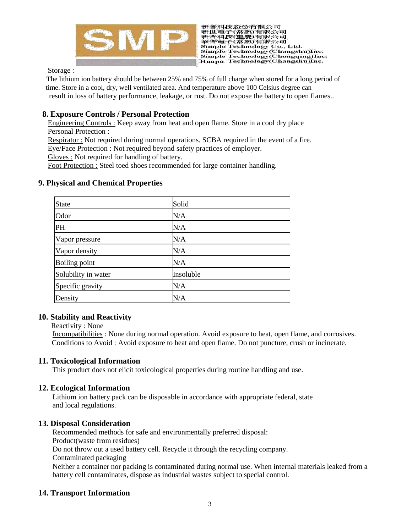

新普科技股份有限公司 #新世公版の市場大学の「最近の国連新聞社会の研究会」<br>新普科技(重慶)有限公司<br>華普電子(常熟)有限公司<br>Simplo Technology Co., Ltd.<br>Simplo Technology(Changshu)Inc. Simplo Technology(Chongqing)Inc.<br>Huapu Technology(Chongqing)Inc.

Storage :

The lithium ion battery should be between 25% and 75% of full charge when stored for a long period of time. Store in a cool, dry, well ventilated area. And temperature above 100 Celsius degree can result in loss of battery performance, leakage, or rust. Do not expose the battery to open flames..

# **8. Exposure Controls / Personal Protection**

Engineering Controls : Keep away from heat and open flame. Store in a cool dry place Personal Protection :

Respirator : Not required during normal operations. SCBA required in the event of a fire.

Eye/Face Protection : Not required beyond safety practices of employer.

Gloves : Not required for handling of battery.

Foot Protection : Steel toed shoes recommended for large container handling.

| <b>State</b>         | Solid     |
|----------------------|-----------|
| Odor                 | N/A       |
| PH                   | N/A       |
| Vapor pressure       | N/A       |
| Vapor density        | N/A       |
| <b>Boiling point</b> | N/A       |
| Solubility in water  | Insoluble |
| Specific gravity     | N/A       |
| Density              | $\rm N/A$ |

#### **9. Physical and Chemical Properties**

# **10. Stability and Reactivity**

Reactivity : None

Incompatibilities : None during normal operation. Avoid exposure to heat, open flame, and corrosives. Conditions to Avoid : Avoid exposure to heat and open flame. Do not puncture, crush or incinerate.

# **11. Toxicological Information**

This product does not elicit toxicological properties during routine handling and use.

# **12. Ecological Information**

Lithium ion battery pack can be disposable in accordance with appropriate federal, state and local regulations.

#### **13. Disposal Consideration**

Recommended methods for safe and environmentally preferred disposal: Product(waste from residues) Do not throw out a used battery cell. Recycle it through the recycling company. Contaminated packaging Neither a container nor packing is contaminated during normal use. When internal materials leaked from a battery cell contaminates, dispose as industrial wastes subject to special control.

# **14. Transport Information**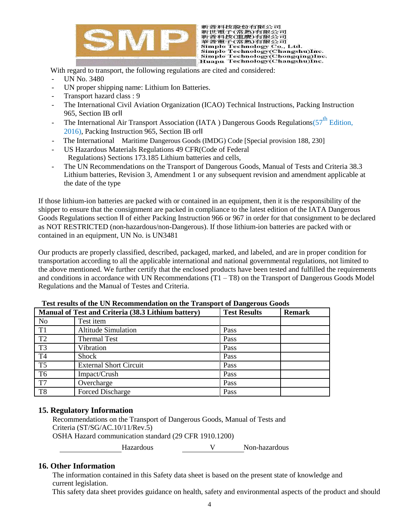

新普科技股份有限公司 利音性公認の有限公司<br>新普科技(重慶)有限公司<br>華普科技(重慶)有限公司<br>華普電子(常熟)有限公司<br>Simplo Technology Co., Ltd. Simplo Technology(Changshu)Inc. Simplo Technology (Chongqing)Inc.<br>Huapu Technology (Changshu)Inc.

With regard to transport, the following regulations are cited and considered:

- UN No. 3480
- UN proper shipping name: Lithium Ion Batteries.
- Transport hazard class : 9
- The International Civil Aviation Organization (ICAO) Technical Instructions, Packing Instruction 965, Section IB orⅡ
- The International Air Transport Association (IATA ) Dangerous Goods Regulations( $57<sup>th</sup>$  Edition, 2016), Packing Instruction 965, Section IB orⅡ
- The International Maritime Dangerous Goods (IMDG) Code [Special provision 188, 230]
- US Hazardous Materials Regulations 49 CFR(Code of Federal Regulations) Sections 173.185 Lithium batteries and cells,
- The UN Recommendations on the Transport of Dangerous Goods, Manual of Tests and Criteria 38.3 Lithium batteries, Revision 3, Amendment 1 or any subsequent revision and amendment applicable at the date of the type

If those lithium-ion batteries are packed with or contained in an equipment, then it is the responsibility of the shipper to ensure that the consignment are packed in compliance to the latest edition of the IATA Dangerous Goods Regulations section Ⅱ of either Packing Instruction 966 or 967 in order for that consignment to be declared as NOT RESTRICTED (non-hazardous/non-Dangerous). If those lithium-ion batteries are packed with or contained in an equipment, UN No. is UN3481

Our products are properly classified, described, packaged, marked, and labeled, and are in proper condition for transportation according to all the applicable international and national governmental regulations, not limited to the above mentioned. We further certify that the enclosed products have been tested and fulfilled the requirements and conditions in accordance with UN Recommendations  $(T1 - T8)$  on the Transport of Dangerous Goods Model Regulations and the Manual of Testes and Criteria.

|                | Manual of Test and Criteria (38.3 Lithium battery) | <b>Test Results</b> | <b>Remark</b> |
|----------------|----------------------------------------------------|---------------------|---------------|
| N <sub>0</sub> | Test item                                          |                     |               |
| T1             | <b>Altitude Simulation</b>                         | Pass                |               |
| T <sub>2</sub> | <b>Thermal Test</b>                                | Pass                |               |
| T <sub>3</sub> | Vibration                                          | Pass                |               |
| T4             | Shock                                              | Pass                |               |
| T <sub>5</sub> | <b>External Short Circuit</b>                      | Pass                |               |
| T <sub>6</sub> | Impact/Crush                                       | Pass                |               |
| T7             | Overcharge                                         | Pass                |               |
| T8             | Forced Discharge                                   | Pass                |               |

**Test results of the UN Recommendation on the Transport of Dangerous Goods**

# **15. Regulatory Information**

Recommendations on the Transport of Dangerous Goods, Manual of Tests and Criteria (ST/SG/AC.10/11/Rev.5) OSHA Hazard communication standard (29 CFR 1910.1200) Hazardous V Non-hazardous

# **16. Other Information**

The information contained in this Safety data sheet is based on the present state of knowledge and current legislation.

This safety data sheet provides guidance on health, safety and environmental aspects of the product and should